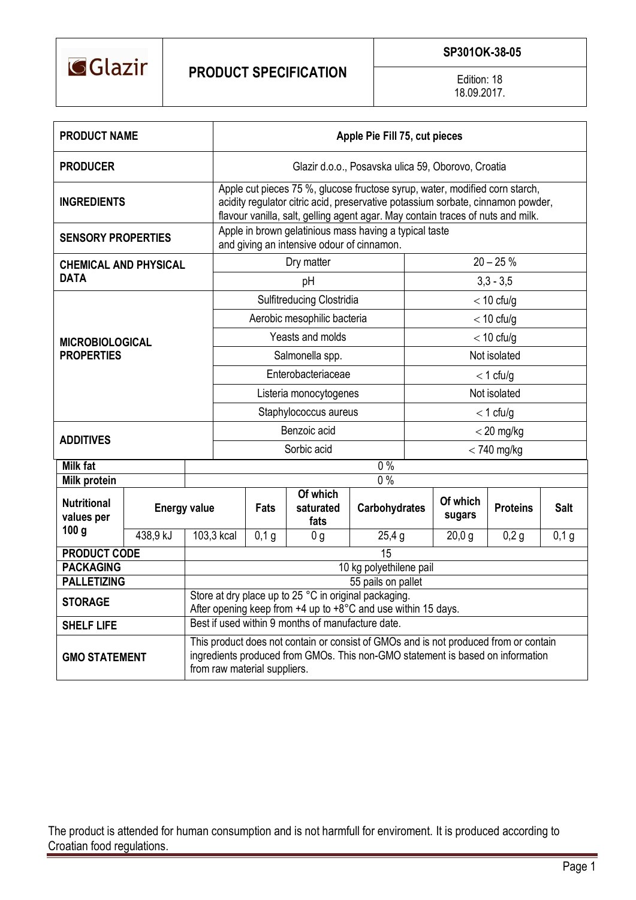

Edition: 18 18.09.2017.

| <b>PRODUCT NAME</b>                         |          |                                                                                                                                                                                                        | Apple Pie Fill 75, cut pieces                                                                                                                                                                                                                     |       |                               |                      |       |                    |                 |             |  |  |
|---------------------------------------------|----------|--------------------------------------------------------------------------------------------------------------------------------------------------------------------------------------------------------|---------------------------------------------------------------------------------------------------------------------------------------------------------------------------------------------------------------------------------------------------|-------|-------------------------------|----------------------|-------|--------------------|-----------------|-------------|--|--|
| <b>PRODUCER</b>                             |          |                                                                                                                                                                                                        | Glazir d.o.o., Posavska ulica 59, Oborovo, Croatia                                                                                                                                                                                                |       |                               |                      |       |                    |                 |             |  |  |
| <b>INGREDIENTS</b>                          |          |                                                                                                                                                                                                        | Apple cut pieces 75 %, glucose fructose syrup, water, modified corn starch,<br>acidity regulator citric acid, preservative potassium sorbate, cinnamon powder,<br>flavour vanilla, salt, gelling agent agar. May contain traces of nuts and milk. |       |                               |                      |       |                    |                 |             |  |  |
| <b>SENSORY PROPERTIES</b>                   |          |                                                                                                                                                                                                        | Apple in brown gelatinious mass having a typical taste<br>and giving an intensive odour of cinnamon.                                                                                                                                              |       |                               |                      |       |                    |                 |             |  |  |
| <b>CHEMICAL AND PHYSICAL</b><br><b>DATA</b> |          |                                                                                                                                                                                                        | Dry matter                                                                                                                                                                                                                                        |       |                               |                      |       | $20 - 25%$         |                 |             |  |  |
|                                             |          |                                                                                                                                                                                                        | рH                                                                                                                                                                                                                                                |       |                               |                      |       | $3,3 - 3,5$        |                 |             |  |  |
| <b>MICROBIOLOGICAL</b><br><b>PROPERTIES</b> |          |                                                                                                                                                                                                        | Sulfitreducing Clostridia                                                                                                                                                                                                                         |       |                               |                      |       | $<$ 10 cfu/g       |                 |             |  |  |
|                                             |          |                                                                                                                                                                                                        | Aerobic mesophilic bacteria                                                                                                                                                                                                                       |       |                               |                      |       | $<$ 10 cfu/g       |                 |             |  |  |
|                                             |          |                                                                                                                                                                                                        | Yeasts and molds                                                                                                                                                                                                                                  |       |                               |                      |       | $<$ 10 cfu/g       |                 |             |  |  |
|                                             |          |                                                                                                                                                                                                        | Salmonella spp.                                                                                                                                                                                                                                   |       |                               |                      |       | Not isolated       |                 |             |  |  |
|                                             |          |                                                                                                                                                                                                        | Enterobacteriaceae                                                                                                                                                                                                                                |       |                               |                      |       | $<$ 1 cfu/g        |                 |             |  |  |
|                                             |          |                                                                                                                                                                                                        | Listeria monocytogenes                                                                                                                                                                                                                            |       |                               |                      |       | Not isolated       |                 |             |  |  |
|                                             |          |                                                                                                                                                                                                        | Staphylococcus aureus                                                                                                                                                                                                                             |       |                               |                      |       | $<$ 1 cfu/g        |                 |             |  |  |
| <b>ADDITIVES</b>                            |          |                                                                                                                                                                                                        | Benzoic acid                                                                                                                                                                                                                                      |       |                               |                      |       | $<$ 20 mg/kg       |                 |             |  |  |
|                                             |          |                                                                                                                                                                                                        | Sorbic acid                                                                                                                                                                                                                                       |       |                               |                      |       | $<$ 740 mg/kg      |                 |             |  |  |
| <b>Milk fat</b>                             |          | $0\%$                                                                                                                                                                                                  |                                                                                                                                                                                                                                                   |       |                               |                      |       |                    |                 |             |  |  |
| <b>Milk protein</b>                         |          |                                                                                                                                                                                                        |                                                                                                                                                                                                                                                   |       |                               | $\overline{0\%}$     |       |                    |                 |             |  |  |
| <b>Nutritional</b><br>values per            |          | <b>Energy value</b>                                                                                                                                                                                    |                                                                                                                                                                                                                                                   | Fats  | Of which<br>saturated<br>fats | <b>Carbohydrates</b> |       | Of which<br>sugars | <b>Proteins</b> | <b>Salt</b> |  |  |
| 100 <sub>g</sub>                            | 438,9 kJ | 103,3 kcal                                                                                                                                                                                             |                                                                                                                                                                                                                                                   | 0,1,9 | 0 <sub>g</sub>                |                      | 25,4g |                    | 0,2g            | $0,1$ g     |  |  |
| <b>PRODUCT CODE</b>                         |          | 15                                                                                                                                                                                                     |                                                                                                                                                                                                                                                   |       |                               |                      |       |                    |                 |             |  |  |
| <b>PACKAGING</b>                            |          | 10 kg polyethilene pail                                                                                                                                                                                |                                                                                                                                                                                                                                                   |       |                               |                      |       |                    |                 |             |  |  |
| <b>PALLETIZING</b>                          |          | 55 pails on pallet                                                                                                                                                                                     |                                                                                                                                                                                                                                                   |       |                               |                      |       |                    |                 |             |  |  |
| <b>STORAGE</b>                              |          | Store at dry place up to 25 °C in original packaging<br>After opening keep from $+4$ up to $+8^{\circ}$ C and use within 15 days.                                                                      |                                                                                                                                                                                                                                                   |       |                               |                      |       |                    |                 |             |  |  |
| <b>SHELF LIFE</b>                           |          | Best if used within 9 months of manufacture date.                                                                                                                                                      |                                                                                                                                                                                                                                                   |       |                               |                      |       |                    |                 |             |  |  |
| <b>GMO STATEMENT</b>                        |          | This product does not contain or consist of GMOs and is not produced from or contain<br>ingredients produced from GMOs. This non-GMO statement is based on information<br>from raw material suppliers. |                                                                                                                                                                                                                                                   |       |                               |                      |       |                    |                 |             |  |  |

The product is attended for human consumption and is not harmfull for enviroment. It is produced according to Croatian food regulations.